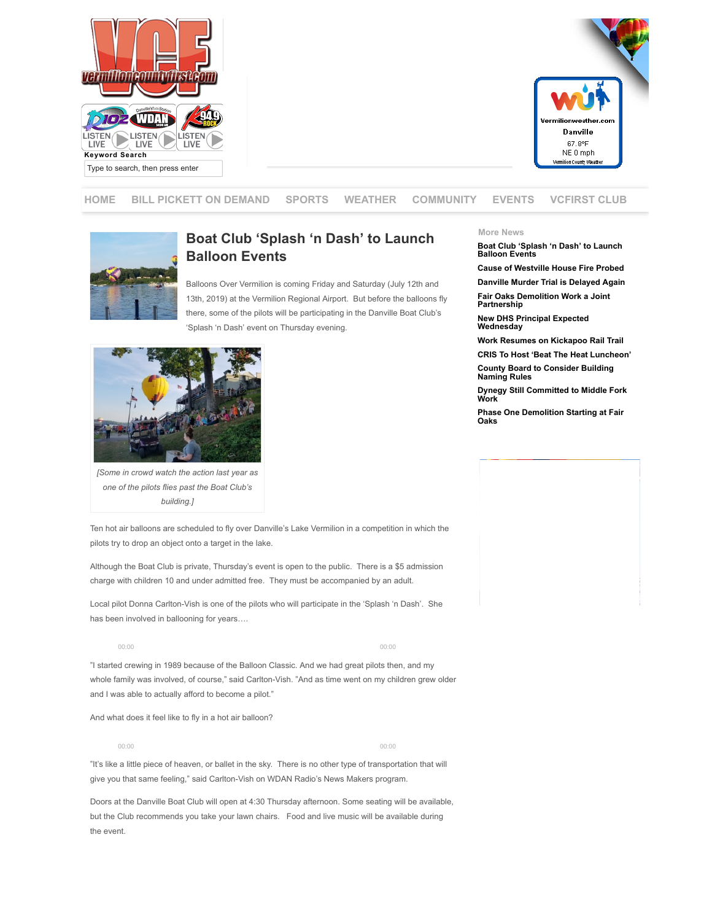



**[HOME](http://www.vermilioncountyfirst.com/) [BILL PICKETT ON DEMAND](http://www.vermilioncountyfirst.com/bill-picket-news-on-demand/) SPORTS WEATHER COMMUNITY EVENTS [VCFIRST CLUB](http://vcfirst.vermilioncountyfirst.com/)**



## **Boat Club 'Splash 'n Dash' to Launch Balloon Events**

Balloons Over Vermilion is coming Friday and Saturday (July 12th and 13th, 2019) at the Vermilion Regional Airport. But before the balloons fly there, some of the pilots will be participating in the Danville Boat Club's 'Splash 'n Dash' event on Thursday evening.



*[Some in crowd watch the action last year as one of the pilots flies past the Boat Club's building.]*

## **More News**

**[Boat Club 'Splash 'n Dash' to Launch](http://www.vermilioncountyfirst.com/2019/07/09/boat-club-splash-n-dash-to-launch-balloon-events/) Balloon Events**

**[Cause of Westville House Fire Probed](http://www.vermilioncountyfirst.com/2019/07/09/cause-of-westville-house-fire-probed/) [Danville Murder Trial is Delayed Again](http://www.vermilioncountyfirst.com/2019/07/08/danville-murder-trial-is-delayed-again/)**

**[Fair Oaks Demolition Work a Joint](http://www.vermilioncountyfirst.com/2019/07/08/fair-oaks-demolition-draws-a-crowd/) Partnership**

**[New DHS Principal Expected](http://www.vermilioncountyfirst.com/2019/07/08/new-dhs-principal-expected-wednesday/) Wednesday**

**[Work Resumes on Kickapoo Rail Trail](http://www.vermilioncountyfirst.com/2019/07/07/work-resumes-on-kickapoo-rail-trail/) [CRIS To Host 'Beat The Heat Luncheon'](http://www.vermilioncountyfirst.com/2019/07/06/cris-to-host-beat-the-heat-luncheon/)**

**[County Board to Consider Building](http://www.vermilioncountyfirst.com/2019/07/06/county-board-to-consider-building-naming-rules/) Naming Rules**

**[Dynegy Still Committed to Middle Fork](http://www.vermilioncountyfirst.com/2019/07/06/dynegy-still-committed-to-national-scenic-middle-fork-work/) Work**

**[Phase One Demolition Starting at Fair](http://www.vermilioncountyfirst.com/2019/07/06/phase-one-demolition-starting-at-fair-oaks/) Oaks**

Ten hot air balloons are scheduled to fly over Danville's Lake Vermilion in a competition in which the pilots try to drop an object onto a target in the lake.

Although the Boat Club is private, Thursday's event is open to the public. There is a \$5 admission charge with children 10 and under admitted free. They must be accompanied by an adult.

Local pilot Donna Carlton-Vish is one of the pilots who will participate in the 'Splash 'n Dash'. She has been involved in ballooning for years….

00:00 00:00

"I started crewing in 1989 because of the Balloon Classic. And we had great pilots then, and my whole family was involved, of course," said Carlton-Vish. "And as time went on my children grew older and I was able to actually afford to become a pilot."

And what does it feel like to fly in a hot air balloon?



"It's like a little piece of heaven, or ballet in the sky. There is no other type of transportation that will give you that same feeling," said Carlton-Vish on WDAN Radio's News Makers program.

Doors at the Danville Boat Club will open at 4:30 Thursday afternoon. Some seating will be available, but the Club recommends you take your lawn chairs. Food and live music will be available during the event.